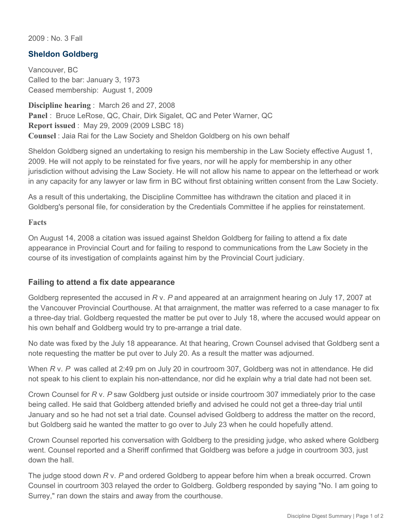2009 : No. 3 Fall

## **Sheldon Goldberg**

Vancouver, BC Called to the bar: January 3, 1973 Ceased membership: August 1, 2009

**Discipline hearing** : March 26 and 27, 2008 **Panel** : Bruce LeRose, QC, Chair, Dirk Sigalet, QC and Peter Warner, QC **Report issued** : May 29, 2009 (2009 LSBC 18) **Counsel** : Jaia Rai for the Law Society and Sheldon Goldberg on his own behalf

Sheldon Goldberg signed an undertaking to resign his membership in the Law Society effective August 1, 2009. He will not apply to be reinstated for five years, nor will he apply for membership in any other jurisdiction without advising the Law Society. He will not allow his name to appear on the letterhead or work in any capacity for any lawyer or law firm in BC without first obtaining written consent from the Law Society.

As a result of this undertaking, the Discipline Committee has withdrawn the citation and placed it in Goldberg's personal file, for consideration by the Credentials Committee if he applies for reinstatement.

#### **Facts**

On August 14, 2008 a citation was issued against Sheldon Goldberg for failing to attend a fix date appearance in Provincial Court and for failing to respond to communications from the Law Society in the course of its investigation of complaints against him by the Provincial Court judiciary.

## **Failing to attend a fix date appearance**

Goldberg represented the accused in *R* v. *P* and appeared at an arraignment hearing on July 17, 2007 at the Vancouver Provincial Courthouse. At that arraignment, the matter was referred to a case manager to fix a three-day trial. Goldberg requested the matter be put over to July 18, where the accused would appear on his own behalf and Goldberg would try to pre-arrange a trial date.

No date was fixed by the July 18 appearance. At that hearing, Crown Counsel advised that Goldberg sent a note requesting the matter be put over to July 20. As a result the matter was adjourned.

When *R* v. *P* was called at 2:49 pm on July 20 in courtroom 307, Goldberg was not in attendance. He did not speak to his client to explain his non-attendance, nor did he explain why a trial date had not been set.

Crown Counsel for *R* v. *P* saw Goldberg just outside or inside courtroom 307 immediately prior to the case being called. He said that Goldberg attended briefly and advised he could not get a three-day trial until January and so he had not set a trial date. Counsel advised Goldberg to address the matter on the record, but Goldberg said he wanted the matter to go over to July 23 when he could hopefully attend.

Crown Counsel reported his conversation with Goldberg to the presiding judge, who asked where Goldberg went. Counsel reported and a Sheriff confirmed that Goldberg was before a judge in courtroom 303, just down the hall.

The judge stood down *R* v. *P* and ordered Goldberg to appear before him when a break occurred. Crown Counsel in courtroom 303 relayed the order to Goldberg. Goldberg responded by saying "No. I am going to Surrey," ran down the stairs and away from the courthouse.